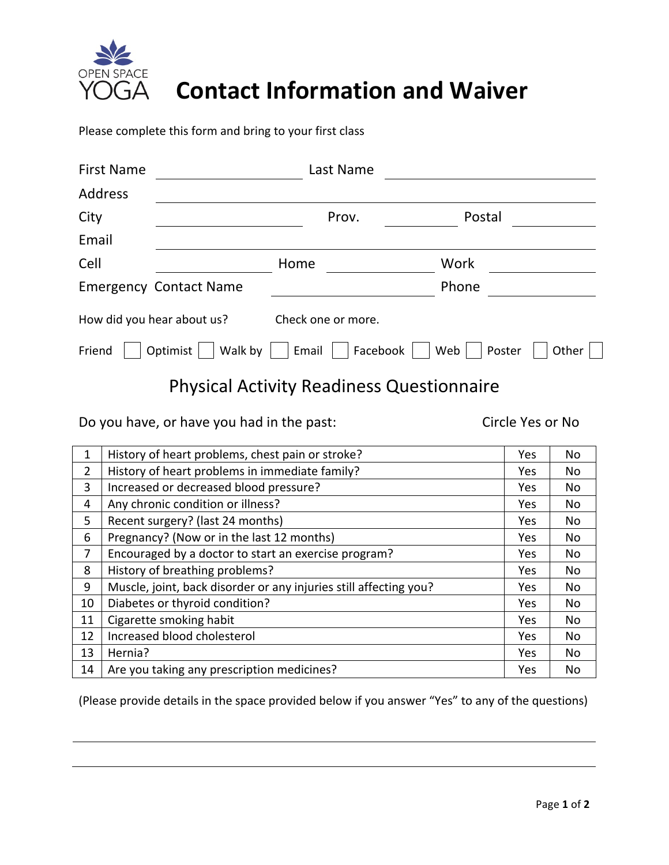

## **Contact Information and Waiver**

Please complete this form and bring to your first class

| <b>First Name</b>          |                               | Last Name          |               |       |
|----------------------------|-------------------------------|--------------------|---------------|-------|
| <b>Address</b>             |                               |                    |               |       |
| City                       |                               | Prov.              | Postal        |       |
| Email                      |                               |                    |               |       |
| Cell                       |                               | Home               | Work          |       |
|                            | <b>Emergency Contact Name</b> |                    | Phone         |       |
| How did you hear about us? |                               | Check one or more. |               |       |
| Friend                     | Walk by<br>Optimist           | Facebook<br>Email  | Web<br>Poster | Other |

### Physical Activity Readiness Questionnaire

Do you have, or have you had in the past: Circle Yes or No

| 1  | History of heart problems, chest pain or stroke?                  | Yes | <b>No</b> |
|----|-------------------------------------------------------------------|-----|-----------|
| 2  | History of heart problems in immediate family?                    |     | No        |
| 3  | Increased or decreased blood pressure?                            |     | No        |
| 4  | Any chronic condition or illness?                                 |     | No        |
| 5  | Recent surgery? (last 24 months)                                  |     | No        |
| 6  | Pregnancy? (Now or in the last 12 months)                         |     | No        |
| 7  | Encouraged by a doctor to start an exercise program?              |     | No        |
| 8  | History of breathing problems?                                    |     | No        |
| 9  | Muscle, joint, back disorder or any injuries still affecting you? |     | No        |
| 10 | Diabetes or thyroid condition?                                    |     | No        |
| 11 | Cigarette smoking habit                                           |     | No        |
| 12 | Increased blood cholesterol                                       |     | No        |
| 13 | Hernia?                                                           |     | No        |
| 14 | Are you taking any prescription medicines?                        |     | No        |

(Please provide details in the space provided below if you answer "Yes" to any of the questions)